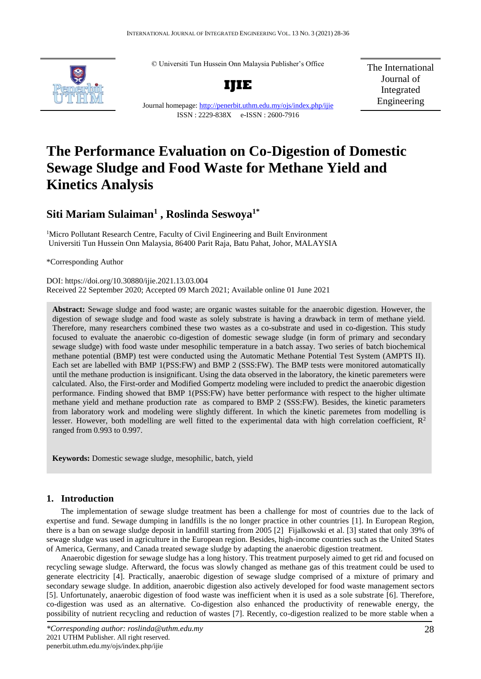© Universiti Tun Hussein Onn Malaysia Publisher's Office



**IJIE**

The International Journal of Integrated Engineering

Journal homepage:<http://penerbit.uthm.edu.my/ojs/index.php/ijie> ISSN : 2229-838X e-ISSN : 2600-7916

# **The Performance Evaluation on Co-Digestion of Domestic Sewage Sludge and Food Waste for Methane Yield and Kinetics Analysis**

# **Siti Mariam Sulaiman<sup>1</sup> , Roslinda Seswoya1\***

<sup>1</sup>Micro Pollutant Research Centre, Faculty of Civil Engineering and Built Environment Universiti Tun Hussein Onn Malaysia, 86400 Parit Raja, Batu Pahat, Johor, MALAYSIA

\*Corresponding Author

DOI: https://doi.org/10.30880/ijie.2021.13.03.004 Received 22 September 2020; Accepted 09 March 2021; Available online 01 June 2021

**Abstract:** Sewage sludge and food waste; are organic wastes suitable for the anaerobic digestion. However, the digestion of sewage sludge and food waste as solely substrate is having a drawback in term of methane yield. Therefore, many researchers combined these two wastes as a co-substrate and used in co-digestion. This study focused to evaluate the anaerobic co-digestion of domestic sewage sludge (in form of primary and secondary sewage sludge) with food waste under mesophilic temperature in a batch assay. Two series of batch biochemical methane potential (BMP) test were conducted using the Automatic Methane Potential Test System (AMPTS II). Each set are labelled with BMP 1(PSS:FW) and BMP 2 (SSS:FW). The BMP tests were monitored automatically until the methane production is insignificant. Using the data observed in the laboratory, the kinetic paremeters were calculated. Also, the First-order and Modified Gompertz modeling were included to predict the anaerobic digestion performance. Finding showed that BMP 1(PSS:FW) have better performance with respect to the higher ultimate methane yield and methane production rate as compared to BMP 2 (SSS:FW). Besides, the kinetic parameters from laboratory work and modeling were slightly different. In which the kinetic paremetes from modelling is lesser. However, both modelling are well fitted to the experimental data with high correlation coefficient,  $\mathbb{R}^2$ ranged from 0.993 to 0.997.

**Keywords:** Domestic sewage sludge, mesophilic, batch, yield

# **1. Introduction**

The implementation of sewage sludge treatment has been a challenge for most of countries due to the lack of expertise and fund. Sewage dumping in landfills is the no longer practice in other countries [1]. In European Region, there is a ban on sewage sludge deposit in landfill starting from 2005 [2] Fijalkowski et al. [3] stated that only 39% of sewage sludge was used in agriculture in the European region. Besides, high-income countries such as the United States of America, Germany, and Canada treated sewage sludge by adapting the anaerobic digestion treatment.

Anaerobic digestion for sewage sludge has a long history. This treatment purposely aimed to get rid and focused on recycling sewage sludge. Afterward, the focus was slowly changed as methane gas of this treatment could be used to generate electricity [4]. Practically, anaerobic digestion of sewage sludge comprised of a mixture of primary and secondary sewage sludge. In addition, anaerobic digestion also actively developed for food waste management sectors [5]. Unfortunately, anaerobic digestion of food waste was inefficient when it is used as a sole substrate [6]. Therefore, co-digestion was used as an alternative. Co-digestion also enhanced the productivity of renewable energy, the possibility of nutrient recycling and reduction of wastes [7]. Recently, co-digestion realized to be more stable when a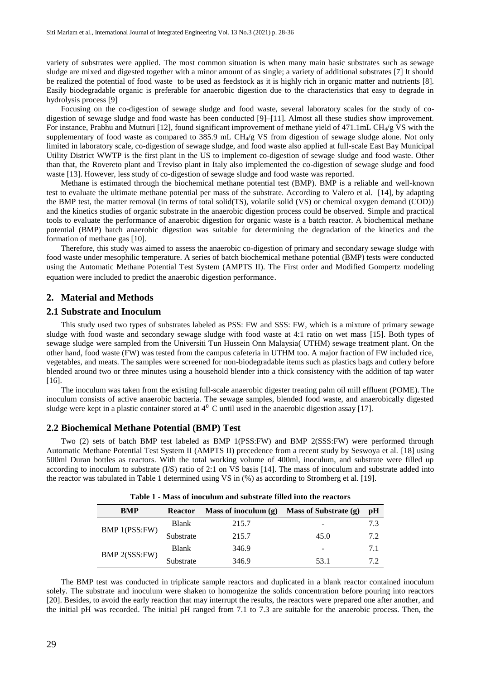variety of substrates were applied. The most common situation is when many main basic substrates such as sewage sludge are mixed and digested together with a minor amount of as single; a variety of additional substrates [7] It should be realized the potential of food waste to be used as feedstock as it is highly rich in organic matter and nutrients [8]. Easily biodegradable organic is preferable for anaerobic digestion due to the characteristics that easy to degrade in hydrolysis process [9]

Focusing on the co-digestion of sewage sludge and food waste, several laboratory scales for the study of codigestion of sewage sludge and food waste has been conducted [9]–[11]. Almost all these studies show improvement. For instance, Prabhu and Mutnuri [12], found significant improvement of methane yield of 471.1mL CH<sub>4</sub>/g VS with the supplementary of food waste as compared to  $385.9$  mL CH $_4$ /g VS from digestion of sewage sludge alone. Not only limited in laboratory scale, co-digestion of sewage sludge, and food waste also applied at full-scale East Bay Municipal Utility District WWTP is the first plant in the US to implement co-digestion of sewage sludge and food waste. Other than that, the Rovereto plant and Treviso plant in Italy also implemented the co-digestion of sewage sludge and food waste [13]. However, less study of co-digestion of sewage sludge and food waste was reported.

Methane is estimated through the biochemical methane potential test (BMP). BMP is a reliable and well-known test to evaluate the ultimate methane potential per mass of the substrate. According to Valero et al. [14], by adapting the BMP test, the matter removal (in terms of total solid(TS), volatile solid (VS) or chemical oxygen demand (COD)) and the kinetics studies of organic substrate in the anaerobic digestion process could be observed. Simple and practical tools to evaluate the performance of anaerobic digestion for organic waste is a batch reactor. A biochemical methane potential (BMP) batch anaerobic digestion was suitable for determining the degradation of the kinetics and the formation of methane gas [10].

Therefore, this study was aimed to assess the anaerobic co-digestion of primary and secondary sewage sludge with food waste under mesophilic temperature. A series of batch biochemical methane potential (BMP) tests were conducted using the Automatic Methane Potential Test System (AMPTS II). The First order and Modified Gompertz modeling equation were included to predict the anaerobic digestion performance.

# **2. Material and Methods**

# **2.1 Substrate and Inoculum**

This study used two types of substrates labeled as PSS: FW and SSS: FW, which is a mixture of primary sewage sludge with food waste and secondary sewage sludge with food waste at 4:1 ratio on wet mass [15]. Both types of sewage sludge were sampled from the Universiti Tun Hussein Onn Malaysia( UTHM) sewage treatment plant. On the other hand, food waste (FW) was tested from the campus cafeteria in UTHM too. A major fraction of FW included rice, vegetables, and meats. The samples were screened for non-biodegradable items such as plastics bags and cutlery before blended around two or three minutes using a household blender into a thick consistency with the addition of tap water [16].

The inoculum was taken from the existing full-scale anaerobic digester treating palm oil mill effluent (POME). The inoculum consists of active anaerobic bacteria. The sewage samples, blended food waste, and anaerobically digested sludge were kept in a plastic container stored at  $4^{\circ}$  C until used in the anaerobic digestion assay [17].

# **2.2 Biochemical Methane Potential (BMP) Test**

Two (2) sets of batch BMP test labeled as BMP 1(PSS:FW) and BMP 2(SSS:FW) were performed through Automatic Methane Potential Test System II (AMPTS II) precedence from a recent study by Seswoya et al. [18] using 500ml Duran bottles as reactors. With the total working volume of 400ml, inoculum, and substrate were filled up according to inoculum to substrate (I/S) ratio of 2:1 on VS basis [14]. The mass of inoculum and substrate added into the reactor was tabulated in Table 1 determined using VS in (%) as according to Stromberg et al. [19].

| <b>BMP</b>    | <b>Reactor</b> | Mass of inoculum $(g)$ | Mass of Substrate (g) | pH  |
|---------------|----------------|------------------------|-----------------------|-----|
| BMP 1(PSS:FW) | <b>Blank</b>   | 215.7                  |                       | 7.3 |
|               | Substrate      | 215.7                  | 45.0                  | 7.2 |
| BMP 2(SSS:FW) | <b>Blank</b>   | 346.9                  | -                     | 7.1 |
|               | Substrate      | 346.9                  | 53.1                  | 72  |

**Table 1 - Mass of inoculum and substrate filled into the reactors**

The BMP test was conducted in triplicate sample reactors and duplicated in a blank reactor contained inoculum solely. The substrate and inoculum were shaken to homogenize the solids concentration before pouring into reactors [20]. Besides, to avoid the early reaction that may interrupt the results, the reactors were prepared one after another, and the initial pH was recorded. The initial pH ranged from 7.1 to 7.3 are suitable for the anaerobic process. Then, the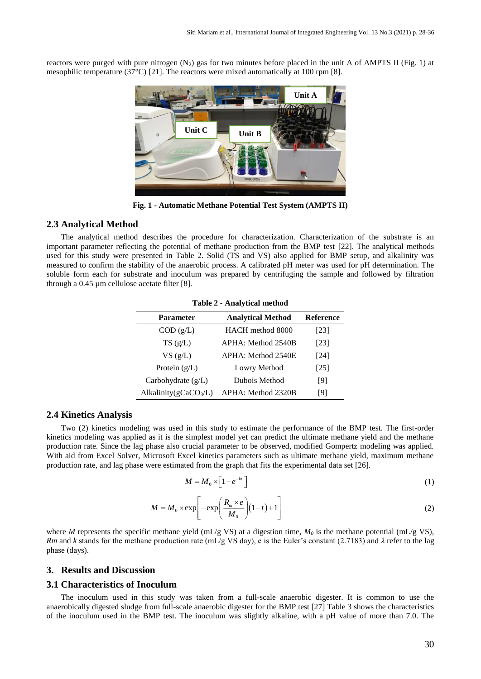reactors were purged with pure nitrogen  $(N_2)$  gas for two minutes before placed in the unit A of AMPTS II (Fig. 1) at mesophilic temperature (37 $^{\circ}$ C) [21]. The reactors were mixed automatically at 100 rpm [8].



**Fig. 1 - Automatic Methane Potential Test System (AMPTS II)**

# **2.3 Analytical Method**

The analytical method describes the procedure for characterization. Characterization of the substrate is an important parameter reflecting the potential of methane production from the BMP test [22]. The analytical methods used for this study were presented in Table 2. Solid (TS and VS) also applied for BMP setup, and alkalinity was measured to confirm the stability of the anaerobic process. A calibrated pH meter was used for pH determination. The soluble form each for substrate and inoculum was prepared by centrifuging the sample and followed by filtration through a 0.45 µm cellulose acetate filter [8].

| $1400C = 71041$ , tical include                           |                    |        |  |  |
|-----------------------------------------------------------|--------------------|--------|--|--|
| <b>Reference</b><br><b>Analytical Method</b><br>Parameter |                    |        |  |  |
| COD (g/L)                                                 | HACH method 8000   | [23]   |  |  |
| TS(g/L)                                                   | APHA: Method 2540B | [23]   |  |  |
| $VS$ (g/L)                                                | APHA: Method 2540E | $[24]$ |  |  |
| Protein $(g/L)$                                           | Lowry Method       | [25]   |  |  |
| Carbohydrate $(g/L)$                                      | Dubois Method      | [9]    |  |  |
| Alkalinity( $gCaCO3/L$ )                                  | APHA: Method 2320B | [9]    |  |  |

**Table 2 - Analytical method**

#### **2.4 Kinetics Analysis**

Two (2) kinetics modeling was used in this study to estimate the performance of the BMP test. The first-order kinetics modeling was applied as it is the simplest model yet can predict the ultimate methane yield and the methane production rate. Since the lag phase also crucial parameter to be observed, modified Gompertz modeling was applied. With aid from Excel Solver, Microsoft Excel kinetics parameters such as ultimate methane yield, maximum methane production rate, and lag phase were estimated from the graph that fits the experimental data set [26].

$$
M = M_0 \times \left[1 - e^{-kt}\right] \tag{1}
$$

$$
M = M_0 \times \exp\left[-\exp\left(\frac{R_m \times e}{M_0}\right)(1-t) + 1\right]
$$
 (2)

where *M* represents the specific methane yield (mL/g VS) at a digestion time,  $M_0$  is the methane potential (mL/g VS), *Rm* and *k* stands for the methane production rate (mL/g VS day), e is the Euler's constant (2.7183) and *λ* refer to the lag phase (days).

# **3. Results and Discussion**

# **3.1 Characteristics of Inoculum**

The inoculum used in this study was taken from a full-scale anaerobic digester. It is common to use the anaerobically digested sludge from full-scale anaerobic digester for the BMP test [27] Table 3 shows the characteristics of the inoculum used in the BMP test. The inoculum was slightly alkaline, with a pH value of more than 7.0. The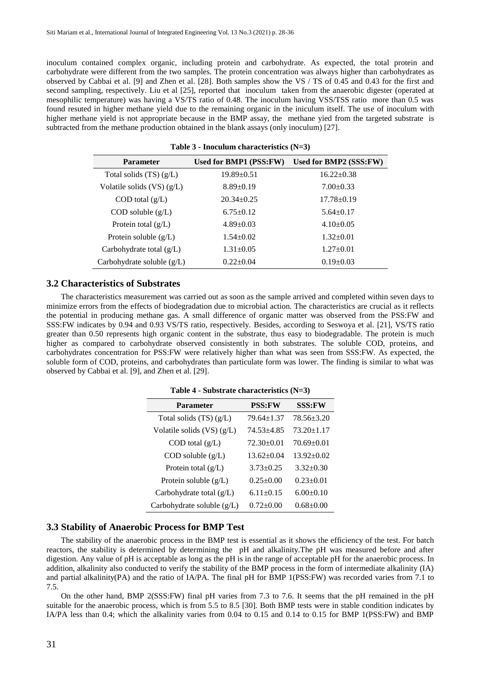inoculum contained complex organic, including protein and carbohydrate. As expected, the total protein and carbohydrate were different from the two samples. The protein concentration was always higher than carbohydrates as observed by Cabbai et al. [9] and Zhen et al. [28]. Both samples show the VS / TS of 0.45 and 0.43 for the first and second sampling, respectively. Liu et al [25], reported that inoculum taken from the anaerobic digester (operated at mesophilic temperature) was having a VS/TS ratio of 0.48. The inoculum having VSS/TSS ratio more than 0.5 was found resuted in higher methane yield due to the remaining organic in the iniculum itself. The use of inoculum with higher methane yield is not appropriate because in the BMP assay, the methane yied from the targeted substrate is subtracted from the methane production obtained in the blank assays (only inoculum) [27].

| <b>Parameter</b>            | Used for BMP1 (PSS:FW) | Used for BMP2 (SSS:FW) |  |
|-----------------------------|------------------------|------------------------|--|
| Total solids $(TS)(g/L)$    | $19.89 \pm 0.51$       | $16.22 \pm 0.38$       |  |
| Volatile solids $(VS)(g/L)$ | $8.89 \pm 0.19$        | $7.00+0.33$            |  |
| $COD$ total $(g/L)$         | $20.34 \pm 0.25$       | $17.78 \pm 0.19$       |  |
| $COD$ soluble $(g/L)$       | $6.75 \pm 0.12$        | $5.64 \pm 0.17$        |  |
| Protein total $(g/L)$       | $4.89 \pm 0.03$        | $4.10+0.05$            |  |
| Protein soluble $(g/L)$     | $1.54 \pm 0.02$        | $1.32 \pm 0.01$        |  |
| Carbohydrate total $(g/L)$  | $1.31 \pm 0.05$        | $1.27 \pm 0.01$        |  |
| Carbohydrate soluble (g/L)  | $0.22+0.04$            | $0.19 \pm 0.03$        |  |

**Table 3 - Inoculum characteristics (N=3)**

#### **3.2 Characteristics of Substrates**

The characteristics measurement was carried out as soon as the sample arrived and completed within seven days to minimize errors from the effects of biodegradation due to microbial action. The characteristics are crucial as it reflects the potential in producing methane gas. A small difference of organic matter was observed from the PSS:FW and SSS:FW indicates by 0.94 and 0.93 VS/TS ratio, respectively. Besides, according to Seswoya et al. [21], VS/TS ratio greater than 0.50 represents high organic content in the substrate, thus easy to biodegradable. The protein is much higher as compared to carbohydrate observed consistently in both substrates. The soluble COD, proteins, and carbohydrates concentration for PSS:FW were relatively higher than what was seen from SSS:FW. As expected, the soluble form of COD, proteins, and carbohydrates than particulate form was lower. The finding is similar to what was observed by Cabbai et al. [9], and Zhen et al. [29].

|  |  | Table 4 - Substrate characteristics $(N=3)$ |  |
|--|--|---------------------------------------------|--|
|--|--|---------------------------------------------|--|

| <b>Parameter</b>             | <b>PSS:FW</b>    | <b>SSS:FW</b>    |  |
|------------------------------|------------------|------------------|--|
| Total solids (TS) (g/L)      | $79.64 \pm 1.37$ | 78.56±3.20       |  |
| Volatile solids $(VS)(g/L)$  | $74.53 + 4.85$   | $73.20 \pm 1.17$ |  |
| $COD$ total $(g/L)$          | $72.30 \pm 0.01$ | $70.69 \pm 0.01$ |  |
| $COD$ soluble $(g/L)$        | $13.62 \pm 0.04$ | $13.92 \pm 0.02$ |  |
| Protein total $(g/L)$        | $3.73 \pm 0.25$  | $3.32 \pm 0.30$  |  |
| Protein soluble $(g/L)$      | $0.25 \pm 0.00$  | $0.23 \pm 0.01$  |  |
| Carbohydrate total $(g/L)$   | $6.11 \pm 0.15$  | $6.00+0.10$      |  |
| Carbohydrate soluble $(g/L)$ | $0.72 \pm 0.00$  | $0.68 \pm 0.00$  |  |

#### **3.3 Stability of Anaerobic Process for BMP Test**

The stability of the anaerobic process in the BMP test is essential as it shows the efficiency of the test. For batch reactors, the stability is determined by determining the pH and alkalinity.The pH was measured before and after digestion. Any value of pH is acceptable as long as the pH is in the range of acceptable pH for the anaerobic process. In addition, alkalinity also conducted to verify the stability of the BMP process in the form of intermediate alkalinity (IA) and partial alkalinity(PA) and the ratio of IA/PA. The final pH for BMP 1(PSS:FW) was recorded varies from 7.1 to 7.5.

On the other hand, BMP 2(SSS:FW) final pH varies from 7.3 to 7.6. It seems that the pH remained in the pH suitable for the anaerobic process, which is from 5.5 to 8.5 [30]. Both BMP tests were in stable condition indicates by IA/PA less than 0.4; which the alkalinity varies from 0.04 to 0.15 and 0.14 to 0.15 for BMP 1(PSS:FW) and BMP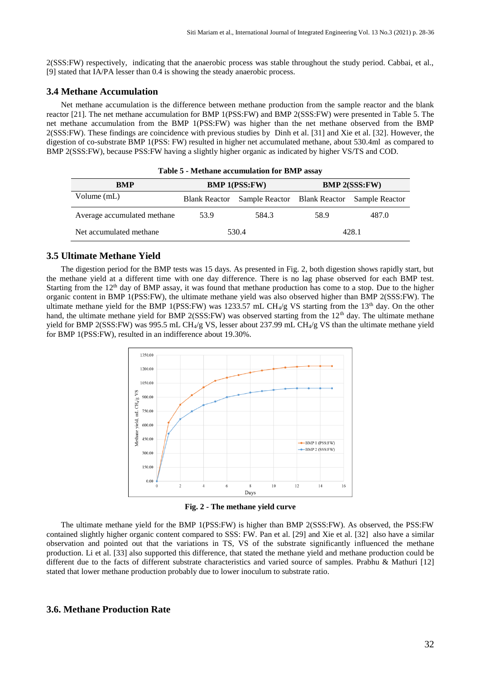2(SSS:FW) respectively, indicating that the anaerobic process was stable throughout the study period. Cabbai, et al., [9] stated that IA/PA lesser than 0.4 is showing the steady anaerobic process.

# **3.4 Methane Accumulation**

Net methane accumulation is the difference between methane production from the sample reactor and the blank reactor [21]. The net methane accumulation for BMP 1(PSS:FW) and BMP 2(SSS:FW) were presented in Table 5. The net methane accumulation from the BMP 1(PSS:FW) was higher than the net methane observed from the BMP 2(SSS:FW). These findings are coincidence with previous studies by Dinh et al. [31] and Xie et al. [32]. However, the digestion of co-substrate BMP 1(PSS: FW) resulted in higher net accumulated methane, about 530.4ml as compared to BMP 2(SSS:FW), because PSS:FW having a slightly higher organic as indicated by higher VS/TS and COD.

| BMP                         | <b>BMP 1(PSS:FW)</b> |                              | <b>BMP 2(SSS:FW)</b> |                |
|-----------------------------|----------------------|------------------------------|----------------------|----------------|
| Volume (mL)                 | <b>Blank Reactor</b> | Sample Reactor Blank Reactor |                      | Sample Reactor |
| Average accumulated methane | 53.9                 | 584.3                        | 58.9                 | 487.0          |
| Net accumulated methane     |                      | 530.4                        |                      | 428.1          |

**Table 5 - Methane accumulation for BMP assay**

# **3.5 Ultimate Methane Yield**

The digestion period for the BMP tests was 15 days. As presented in Fig. 2, both digestion shows rapidly start, but the methane yield at a different time with one day difference. There is no lag phase observed for each BMP test. Starting from the 12<sup>th</sup> day of BMP assay, it was found that methane production has come to a stop. Due to the higher organic content in BMP 1(PSS:FW), the ultimate methane yield was also observed higher than BMP 2(SSS:FW). The ultimate methane yield for the BMP 1(PSS:FW) was 1233.57 mL CH<sub>4</sub>/g VS starting from the 13<sup>th</sup> day. On the other hand, the ultimate methane yield for BMP 2(SSS:FW) was observed starting from the  $12<sup>th</sup>$  day. The ultimate methane yield for BMP 2(SSS:FW) was 995.5 mL CH<sub>4</sub>/g VS, lesser about 237.99 mL CH<sub>4</sub>/g VS than the ultimate methane yield for BMP 1(PSS:FW), resulted in an indifference about 19.30%.



**Fig. 2 - The methane yield curve**

The ultimate methane yield for the BMP 1(PSS:FW) is higher than BMP 2(SSS:FW). As observed, the PSS:FW contained slightly higher organic content compared to SSS: FW. Pan et al. [29] and Xie et al. [32] also have a similar observation and pointed out that the variations in TS, VS of the substrate significantly influenced the methane production. Li et al. [33] also supported this difference, that stated the methane yield and methane production could be different due to the facts of different substrate characteristics and varied source of samples. Prabhu & Mathuri [12] stated that lower methane production probably due to lower inoculum to substrate ratio.

# **3.6. Methane Production Rate**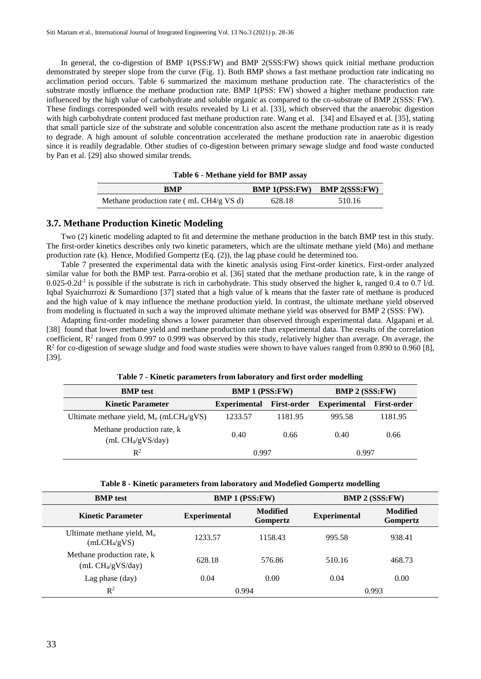In general, the co-digestion of BMP 1(PSS:FW) and BMP 2(SSS:FW) shows quick initial methane production demonstrated by steeper slope from the curve (Fig. 1). Both BMP shows a fast methane production rate indicating no acclimation period occurs. Table 6 summarized the maximum methane production rate. The characteristics of the substrate mostly influence the methane production rate. BMP 1(PSS: FW) showed a higher methane production rate influenced by the high value of carbohydrate and soluble organic as compared to the co-substrate of BMP 2(SSS: FW). These findings corresponded well with results revealed by Li et al. [33], which observed that the anaerobic digestion with high carbohydrate content produced fast methane production rate. Wang et al. [34] and Elsayed et al. [35], stating that small particle size of the substrate and soluble concentration also ascent the methane production rate as it is ready to degrade. A high amount of soluble concentration accelerated the methane production rate in anaerobic digestion since it is readily degradable. Other studies of co-digestion between primary sewage sludge and food waste conducted by Pan et al. [29] also showed similar trends.

| RMP                                     |        | <b>BMP 1(PSS:FW)</b> BMP $2(SSS:FW)$ |
|-----------------------------------------|--------|--------------------------------------|
| Methane production rate (mL CH4/g VS d) | 628.18 | 510.16                               |

# **3.7. Methane Production Kinetic Modeling**

Two (2) kinetic modeling adapted to fit and determine the methane production in the batch BMP test in this study. The first-order kinetics describes only two kinetic parameters, which are the ultimate methane yield (Mo) and methane production rate (k). Hence, Modified Gompertz (Eq. (2)), the lag phase could be determined too.

Table 7 presented the experimental data with the kinetic analysis using First-order kinetics. First-order analyzed similar value for both the BMP test. Parra-orobio et al. [36] stated that the methane production rate, k in the range of  $0.025$ -0.2d<sup>-1</sup> is possible if the substrate is rich in carbohydrate. This study observed the higher k, ranged 0.4 to 0.7 l/d. Iqbal Syaichurrozi & Sumardiono [37] stated that a high value of k means that the faster rate of methane is produced and the high value of k may influence the methane production yield. In contrast, the ultimate methane yield observed from modeling is fluctuated in such a way the improved ultimate methane yield was observed for BMP 2 (SSS: FW).

Adapting first-order modeling shows a lower parameter than observed through experimental data. Algapani et al. [38] found that lower methane yield and methane production rate than experimental data. The results of the correlation coefficient,  $R^2$  ranged from 0.997 to 0.999 was observed by this study, relatively higher than average. On average, the  $R<sup>2</sup>$  for co-digestion of sewage sludge and food waste studies were shown to have values ranged from 0.890 to 0.960 [8], [39].

| <b>BMP</b> test                                        | <b>BMP 1 (PSS:FW)</b> |                    | <b>BMP 2 (SSS:FW)</b> |                    |
|--------------------------------------------------------|-----------------------|--------------------|-----------------------|--------------------|
| <b>Kinetic Parameter</b>                               | <b>Experimental</b>   | <b>First-order</b> | Experimental          | <b>First-order</b> |
| Ultimate methane yield, $M_0$ (mLCH <sub>4</sub> /gVS) | 1233.57               | 1181.95            | 995.58                | 1181.95            |
| Methane production rate, k<br>$mL CH_4/gVS/day)$       | 0.40                  | 0.66               | 0.40                  | 0.66               |
| $\mathbb{R}^2$                                         | 0.997                 |                    | 0.997                 |                    |

**Table 7 - Kinetic parameters from laboratory and first order modelling**

| Table 8 - Kinetic parameters from laboratory and Modefied Gompertz modelling |  |  |
|------------------------------------------------------------------------------|--|--|
|                                                                              |  |  |

| <b>BMP</b> test                                                    | <b>BMP 1 (PSS:FW)</b> |                      | <b>BMP 2 (SSS:FW)</b> |                      |
|--------------------------------------------------------------------|-----------------------|----------------------|-----------------------|----------------------|
| <b>Kinetic Parameter</b>                                           | <b>Experimental</b>   | Modified<br>Gompertz | <b>Experimental</b>   | Modified<br>Gompertz |
| Ultimate methane yield, M <sub>o</sub><br>(mLCH <sub>4</sub> /gVS) | 1233.57               | 1158.43              | 995.58                | 938.41               |
| Methane production rate, k<br>$(mL CH_4/gVS/day)$                  | 628.18                | 576.86               | 510.16                | 468.73               |
| Lag phase $\text{(day)}$                                           | 0.04                  | 0.00                 | 0.04                  | 0.00                 |
| $\mathbb{R}^2$                                                     | 0.994                 |                      | 0.993                 |                      |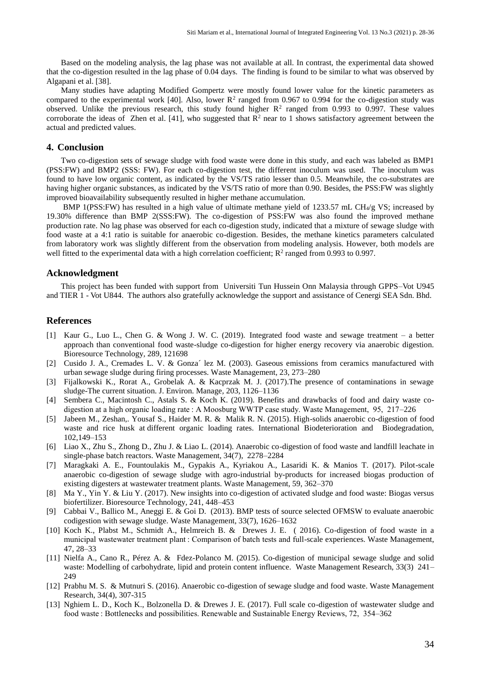Based on the modeling analysis, the lag phase was not available at all. In contrast, the experimental data showed that the co-digestion resulted in the lag phase of 0.04 days. The finding is found to be similar to what was observed by Algapani et al. [38].

Many studies have adapting Modified Gompertz were mostly found lower value for the kinetic parameters as compared to the experimental work [40]. Also, lower  $R^2$  ranged from 0.967 to 0.994 for the co-digestion study was observed. Unlike the previous research, this study found higher  $R^2$  ranged from 0.993 to 0.997. These values corroborate the ideas of Zhen et al. [41], who suggested that  $\mathbb{R}^2$  near to 1 shows satisfactory agreement between the actual and predicted values.

# **4. Conclusion**

Two co-digestion sets of sewage sludge with food waste were done in this study, and each was labeled as BMP1 (PSS:FW) and BMP2 (SSS: FW). For each co-digestion test, the different inoculum was used. The inoculum was found to have low organic content, as indicated by the VS/TS ratio lesser than 0.5. Meanwhile, the co-substrates are having higher organic substances, as indicated by the VS/TS ratio of more than 0.90. Besides, the PSS:FW was slightly improved bioavailability subsequently resulted in higher methane accumulation.

BMP 1(PSS:FW) has resulted in a high value of ultimate methane yield of 1233.57 mL CH<sub>4</sub>/g VS; increased by 19.30% difference than BMP 2(SSS:FW). The co-digestion of PSS:FW was also found the improved methane production rate. No lag phase was observed for each co-digestion study, indicated that a mixture of sewage sludge with food waste at a 4:1 ratio is suitable for anaerobic co-digestion. Besides, the methane kinetics parameters calculated from laboratory work was slightly different from the observation from modeling analysis. However, both models are well fitted to the experimental data with a high correlation coefficient;  $R^2$  ranged from 0.993 to 0.997.

#### **Acknowledgment**

This project has been funded with support from Universiti Tun Hussein Onn Malaysia through GPPS–Vot U945 and TIER 1 - Vot U844. The authors also gratefully acknowledge the support and assistance of Cenergi SEA Sdn. Bhd.

#### **References**

- [1] Kaur G., Luo L., Chen G. & Wong J. W. C. (2019). Integrated food waste and sewage treatment a better approach than conventional food waste-sludge co-digestion for higher energy recovery via anaerobic digestion. Bioresource Technology*,* 289, 121698
- [2] Cusido J. A., Cremades L. V. & Gonza´ lez M. (2003). Gaseous emissions from ceramics manufactured with urban sewage sludge during firing processes. Waste Management, 23, 273–280
- [3] Fijalkowski K., Rorat A., Grobelak A. & Kacprzak M. J. (2017).The presence of contaminations in sewage sludge-The current situation. J. Environ. Manage*,* 203, 1126–1136
- [4] Sembera C., Macintosh C., Astals S. & Koch K. (2019). Benefits and drawbacks of food and dairy waste codigestion at a high organic loading rate : A Moosburg WWTP case study. Waste Management, 95, 217–226
- [5] Jabeen M., Zeshan,. Yousaf S., Haider M. R. & Malik R. N. (2015). High-solids anaerobic co-digestion of food waste and rice husk at different organic loading rates. International Biodeterioration and Biodegradation, 102,149–153
- [6] Liao X., Zhu S., Zhong D., Zhu J. & Liao L. (2014). Anaerobic co-digestion of food waste and landfill leachate in single-phase batch reactors. Waste Management, 34(7), 2278–2284
- [7] Maragkaki A. E., Fountoulakis M., Gypakis A., Kyriakou A., Lasaridi K. & Manios T. (2017). Pilot-scale anaerobic co-digestion of sewage sludge with agro-industrial by-products for increased biogas production of existing digesters at wastewater treatment plants. Waste Management, 59, 362–370
- [8] Ma Y., Yin Y. & Liu Y. (2017). New insights into co-digestion of activated sludge and food waste: Biogas versus biofertilizer. Bioresource Technology, 241, 448–453
- [9] Cabbai V., Ballico M., Aneggi E. & Goi D. (2013). BMP tests of source selected OFMSW to evaluate anaerobic codigestion with sewage sludge. Waste Management, 33(7), 1626–1632
- [10] Koch K., Plabst M., Schmidt A., Helmreich B. & Drewes J. E. ( 2016). Co-digestion of food waste in a municipal wastewater treatment plant : Comparison of batch tests and full-scale experiences. Waste Management, 47, 28–33
- [11] Nielfa A., Cano R., Pérez A. & Fdez-Polanco M. (2015). Co-digestion of municipal sewage sludge and solid waste: Modelling of carbohydrate, lipid and protein content influence. Waste Management Research, 33(3) 241– 249
- [12] Prabhu M. S. & Mutnuri S. (2016). Anaerobic co-digestion of sewage sludge and food waste. Waste Management Research, 34(4), 307-315
- [13] Nghiem L. D., Koch K., Bolzonella D. & Drewes J. E. (2017). Full scale co-digestion of wastewater sludge and food waste : Bottlenecks and possibilities. Renewable and Sustainable Energy Reviews, 72, 354–362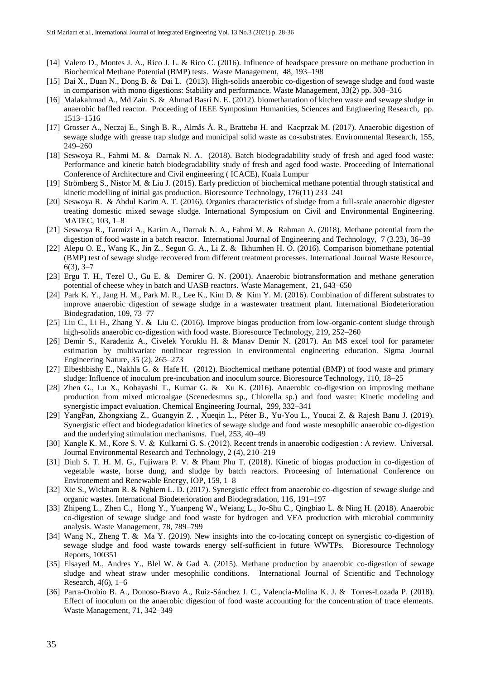- [14] Valero D., Montes J. A., Rico J. L. & Rico C. (2016). Influence of headspace pressure on methane production in Biochemical Methane Potential (BMP) tests. Waste Management, 48, 193–198
- [15] Dai X., Duan N., Dong B. & Dai L. (2013). High-solids anaerobic co-digestion of sewage sludge and food waste in comparison with mono digestions: Stability and performance. Waste Management, 33(2) pp. 308–316
- [16] Malakahmad A., Md Zain S. & Ahmad Basri N. E. (2012). biomethanation of kitchen waste and sewage sludge in anaerobic baffled reactor. Proceeding of IEEE Symposium Humanities, Sciences and Engineering Research, pp. 1513–1516
- [17] Grosser A., Neczaj E., Singh B. R., Almås Å. R., Brattebø H. and Kacprzak M. (2017). Anaerobic digestion of sewage sludge with grease trap sludge and municipal solid waste as co-substrates. Environmental Research, 155, 249–260
- [18] Seswoya R., Fahmi M. & Darnak N. A. (2018). Batch biodegradability study of fresh and aged food waste: Performance and kinetic batch biodegradability study of fresh and aged food waste. Proceeding of International Conference of Architecture and Civil engineering ( ICACE), Kuala Lumpur
- [19] Strömberg S., Nistor M. & Liu J. (2015). Early prediction of biochemical methane potential through statistical and kinetic modelling of initial gas production. Bioresource Technology, 176(11) 233–241
- [20] Seswoya R. & Abdul Karim A. T. (2016). Organics characteristics of sludge from a full-scale anaerobic digester treating domestic mixed sewage sludge. International Symposium on Civil and Environmental Engineering. MATEC, 103, 1–8
- [21] Seswoya R., Tarmizi A., Karim A., Darnak N. A., Fahmi M. & Rahman A. (2018). Methane potential from the digestion of food waste in a batch reactor. International Journal of Engineering and Technology, 7 (3.23), 36–39
- [22] Alepu O. E., Wang K., Jin Z., Segun G. A., Li Z. & Ikhumhen H. O. (2016). Comparison biomethane potential (BMP) test of sewage sludge recovered from different treatment processes. International Journal Waste Resource, 6(3), 3–7
- [23] Ergu T. H., Tezel U., Gu E. & Demirer G. N. (2001). Anaerobic biotransformation and methane generation potential of cheese whey in batch and UASB reactors. Waste Management, 21, 643–650
- [24] Park K. Y., Jang H. M., Park M. R., Lee K., Kim D. & Kim Y. M. (2016). Combination of different substrates to improve anaerobic digestion of sewage sludge in a wastewater treatment plant. International Biodeterioration Biodegradation, 109, 73–77
- [25] Liu C., Li H., Zhang Y. & Liu C. (2016). Improve biogas production from low-organic-content sludge through high-solids anaerobic co-digestion with food waste. Bioresource Technology, 219, 252–260
- [26] Demir S., Karadeniz A., Civelek Yoruklu H. & Manav Demir N. (2017). An MS excel tool for parameter estimation by multivariate nonlinear regression in environmental engineering education. Sigma Journal Engineering Nature, 35 (2), 265–273
- [27] Elbeshbishy E., Nakhla G. & Hafe H. (2012). Biochemical methane potential (BMP) of food waste and primary sludge: Influence of inoculum pre-incubation and inoculum source. Bioresource Technology, 110, 18–25
- [28] Zhen G., Lu X., Kobayashi T., Kumar G. & Xu K. (2016). Anaerobic co-digestion on improving methane production from mixed microalgae (Scenedesmus sp., Chlorella sp.) and food waste: Kinetic modeling and synergistic impact evaluation. Chemical Engineering Journal, 299, 332–341
- [29] YangPan, Zhongxiang Z., Guangyin Z. , Xueqin L., Péter B., Yu-You L., Youcai Z. & Rajesh Banu J. (2019). Synergistic effect and biodegradation kinetics of sewage sludge and food waste mesophilic anaerobic co-digestion and the underlying stimulation mechanisms. Fuel, 253, 40–49
- [30] Kangle K. M., Kore S. V. & Kulkarni G. S. (2012). Recent trends in anaerobic codigestion : A review. Universal. Journal Environmental Research and Technology, 2 (4), 210–219
- [31] Dinh S. T. H. M. G., Fujiwara P. V. & Pham Phu T. (2018). Kinetic of biogas production in co-digestion of vegetable waste, horse dung, and sludge by batch reactors. Proceesing of International Conference on Environement and Renewable Energy, IOP, 159, 1–8
- [32] Xie S., Wickham R. & Nghiem L. D. (2017). Synergistic effect from anaerobic co-digestion of sewage sludge and organic wastes. International Biodeterioration and Biodegradation, 116, 191–197
- [33] Zhipeng L., Zhen C., Hong Y., Yuanpeng W., Weiang L., Jo-Shu C., Qingbiao L. & Ning H. (2018). Anaerobic co-digestion of sewage sludge and food waste for hydrogen and VFA production with microbial community analysis. Waste Management, 78, 789–799
- [34] Wang N., Zheng T. & Ma Y. (2019). New insights into the co-locating concept on synergistic co-digestion of sewage sludge and food waste towards energy self-sufficient in future WWTPs. Bioresource Technology Reports, 100351
- [35] Elsayed M., Andres Y., Blel W. & Gad A. (2015). Methane production by anaerobic co-digestion of sewage sludge and wheat straw under mesophilic conditions. International Journal of Scientific and Technology Research, 4(6), 1–6
- [36] Parra-Orobio B. A., Donoso-Bravo A., Ruiz-Sánchez J. C., Valencia-Molina K. J. & Torres-Lozada P. (2018). Effect of inoculum on the anaerobic digestion of food waste accounting for the concentration of trace elements. Waste Management, 71, 342–349